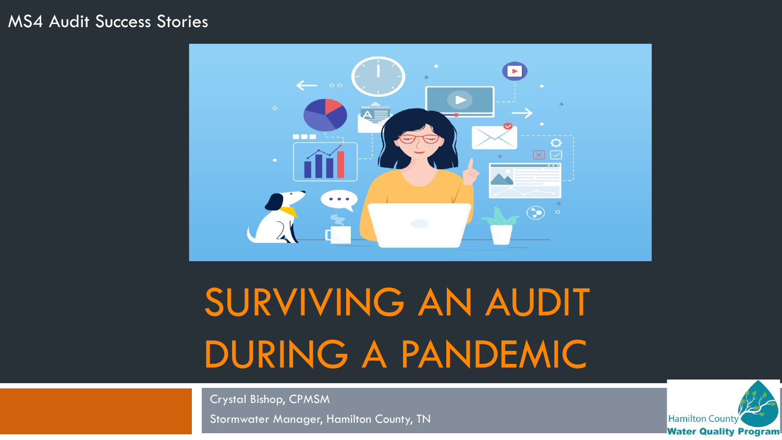#### MS4 Audit Success Stories



# SURVIVING AN AUDIT DURING A PANDEMIC

Crystal Bishop, CPMSM

Stormwater Manager, Hamilton County, TN

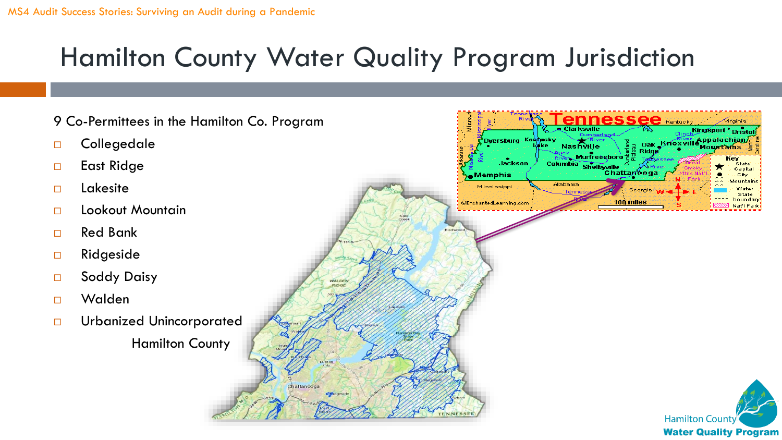#### Hamilton County Water Quality Program Jurisdiction

9 Co-Permittees in the Hamilton Co. Program  $s$ see $s$  Kentuci Kingsport <sup>o</sup> Brist □ Collegedale Dyersburg mpalachiai Nashville nak Krioxvi Murfreesboro í eu Columbia Shelbyville □ East Ridge **Jackson** Capita Chattanooga Memphis City Mountaine **Alabama**  Lakesite Mississippi State boundary CEnchantedLearning.com 100 mile Natl Park □ Lookout Mountain □ Red Bank □ Ridgeside □ Soddy Daisy Walden Urbanized Unincorporated Hamilton County **Hamilton County** 

**Water Quality Program**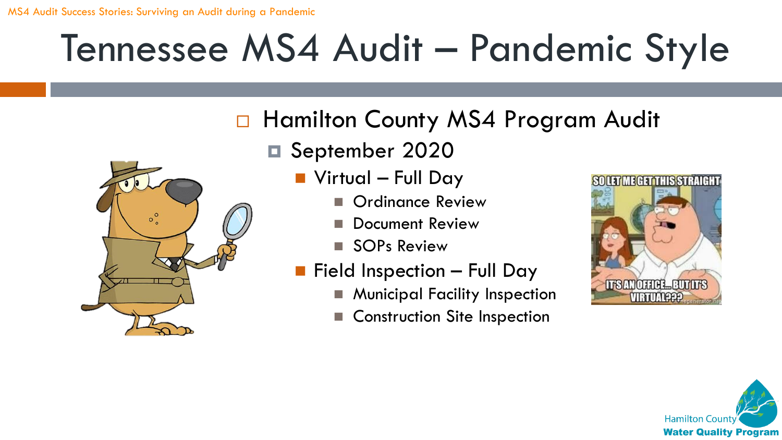#### □ Hamilton County MS4 Program Audit

September 2020



- Virtual Full Day
	- Ordinance Review
	- Document Review
	- ◼ SOPs Review
- $\blacksquare$  Field Inspection Full Day
	- Municipal Facility Inspection
	- Construction Site Inspection



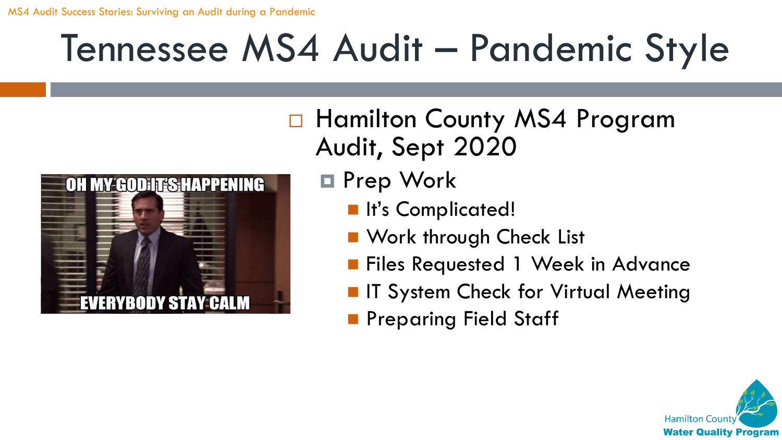

□ Hamilton County MS4 Program Audit, Sept 2020

- Prep Work
	- It's Complicated!
	- Work through Check List
	- Files Requested 1 Week in Advance
	- IT System Check for Virtual Meeting
	- Preparing Field Staff

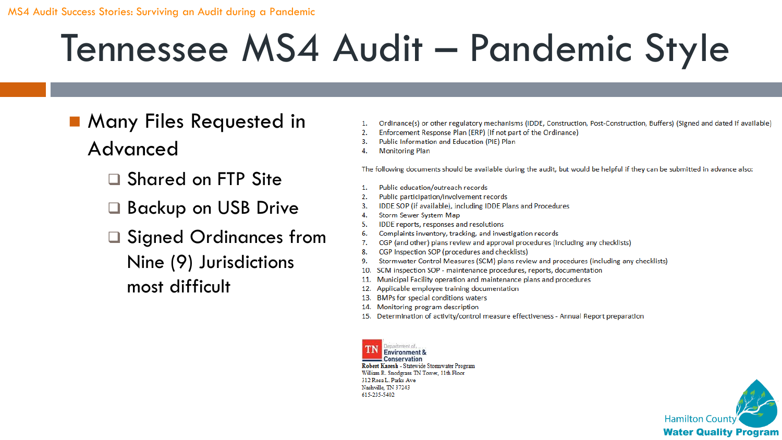- Many Files Requested in Advanced
	- ❑ Shared on FTP Site
	- ❑ Backup on USB Drive
	- ❑ Signed Ordinances from Nine (9) Jurisdictions most difficult
- 1. Ordinance(s) or other regulatory mechanisms (IDDE, Construction, Post-Construction, Buffers) (Signed and dated if available)
- $2.$ Enforcement Response Plan (ERP) (If not part of the Ordinance)
- Public Information and Education (PIE) Plan  $3.$
- **Monitoring Plan** 4.

The following documents should be available during the audit, but would be helpful if they can be submitted in advance also:

- Public education/outreach records 1.
- $2.$ Public participation/involvement records
- $3.$ IDDE SOP (if available), including IDDE Plans and Procedures
- Storm Sewer System Map 4.
- IDDE reports, responses and resolutions -5.
- 6. Complaints inventory, tracking, and investigation records
- 7. CGP (and other) plans review and approval procedures (including any checklists)
- CGP Inspection SOP (procedures and checklists) 8.
- Stormwater Control Measures (SCM) plans review and procedures (including any checklists) 9.
- $10.$ SCM inspection SOP - maintenance procedures, reports, documentation
- 11. Municipal Facility operation and maintenance plans and procedures
- Applicable employee training documentation  $12.$
- 13. BMPs for special conditions waters
- 14. Monitoring program description
- 15. Determination of activity/control measure effectiveness Annual Report preparation

**Conservation** Robert Karesh - Statewide Stormwater Program William R. Snodgrass TN Tower, 11th Floor 312 Rosa L. Parks Ave Nashville, TN 37243 615-235-5402

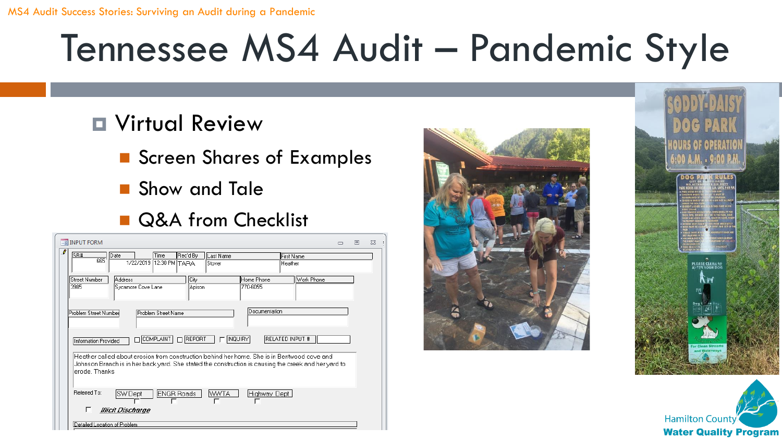#### **D** Virtual Review

- Screen Shares of Examples
- Show and Tale
- Q&A from Checklist

| <b>ER INPUT FORM</b>                                                                                                                                                                                                 | $\Box$ | 同 | 53 |
|----------------------------------------------------------------------------------------------------------------------------------------------------------------------------------------------------------------------|--------|---|----|
| $\cdot$<br>SR#<br>Rec'd By<br>Time<br>Date<br>Last Name<br><b>First Name</b><br>665<br>1/22/2019 12:30 PM TARA<br>Heather<br>Stover                                                                                  |        |   |    |
| Address<br>City<br>Street Number<br>Home Phone<br>Work Phone<br>3985<br>770-6055<br>Sycamore Cove Lane<br>Apison                                                                                                     |        |   |    |
| Documentation<br>Problem Street Number<br>Problem Street Name                                                                                                                                                        |        |   |    |
| $\Box$ REPORT<br><b>INQUIRY</b><br><b>RELATED INPUT #</b><br>$\sqcap$ COMPLAINT  <br>Information Provided                                                                                                            |        |   |    |
| Heather called about erosion from construction behind her home. She is in Bentwood cove and<br>Johnson Branch is in her back yard. She stated the construction is causing the creek and her yard to<br>erode. Thanks |        |   |    |
| Referred To:<br><b>ENGR Roads</b><br><b>WWTA</b><br>SW Dept<br>Highway Dept<br>Illicit Discharge                                                                                                                     |        |   |    |
| Detailed Location of Problem.                                                                                                                                                                                        |        |   |    |





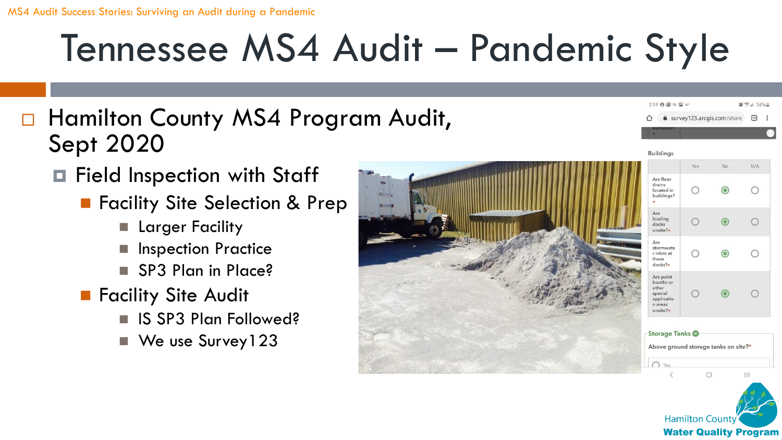- □ Hamilton County MS4 Program Audit, Sept 2020
	- **□** Field Inspection with Staff
		- Facility Site Selection & Prep
			- Larger Facility
			- **Inspection Practice**
			- SP3 Plan in Place?
		- Facility Site Audit
			- IS SP3 Plan Followed?
			- We use Survey 123





 $|||$ 

2:39 日国以国的

survey123.arcgis.com/share

No

◎ "三 34%章

 $<sup>35</sup>$ </sup>

 $N/A$ 

 $\bigcirc$ 

 $\bigcirc$ 

∩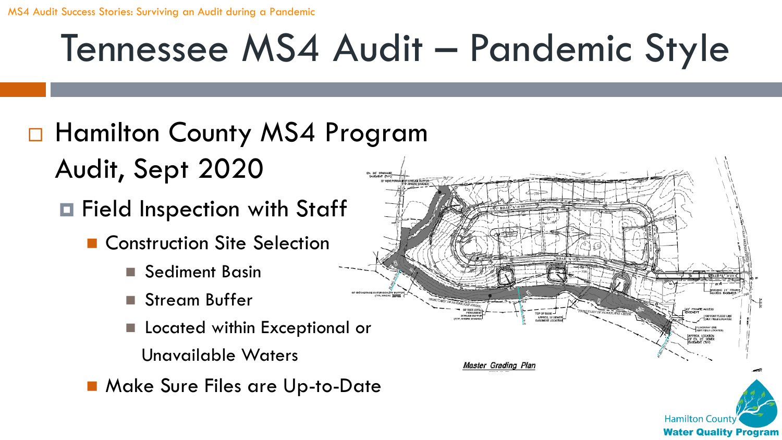#### □ Hamilton County MS4 Program Audit, Sept 2020

- Field Inspection with Staff
	- Construction Site Selection
		- Sediment Basin
		- Stream Buffer
		- Located within Exceptional or
			- Unavailable Waters
	- Make Sure Files are Up-to-Date

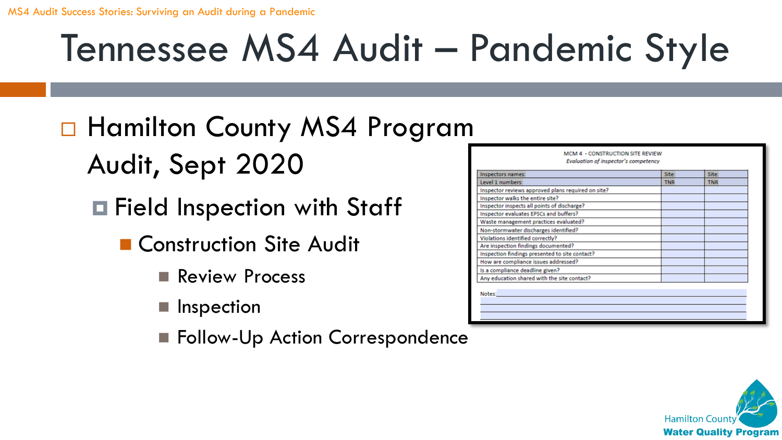#### □ Hamilton County MS4 Program Audit, Sept 2020

- Field Inspection with Staff
	- Construction Site Audit
		- Review Process
		- Inspection
		- Follow-Up Action Correspondence

| Inspectors names:                                  | Site:      | Site:      |
|----------------------------------------------------|------------|------------|
| Level 1 numbers:                                   | <b>TNR</b> | <b>TNR</b> |
| Inspector reviews approved plans required on site? |            |            |
| Inspector walks the entire site?                   |            |            |
| Inspector inspects all points of discharge?        |            |            |
| Inspector evaluates EPSCs and buffers?             |            |            |
| Waste management practices evaluated?              |            |            |
| Non-stormwater discharges identified?              |            |            |
| Violations identified correctly?                   |            |            |
| Are inspection findings documented?                |            |            |
| Inspection findings presented to site contact?     |            |            |
| How are compliance issues addressed?               |            |            |
| Is a compliance deadline given?                    |            |            |
| Any education shared with the site contact?        |            |            |

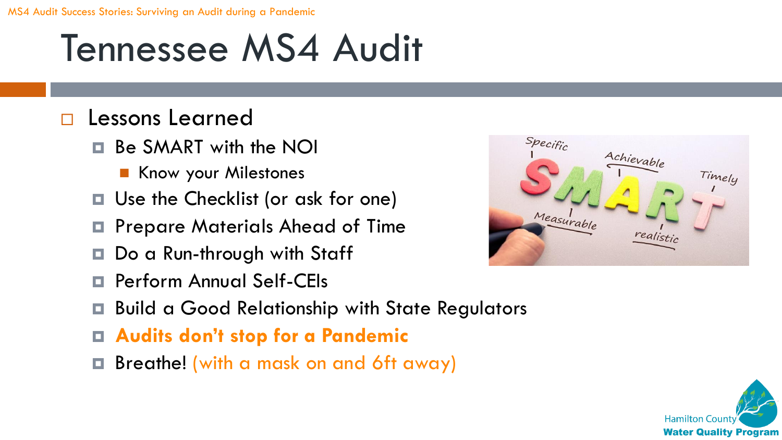#### Tennessee MS4 Audit

#### Lessons Learned

- Be SMART with the NOI
	- Know your Milestones
- Use the Checklist (or ask for one)
- Prepare Materials Ahead of Time
- Do a Run-through with Staff
- Perform Annual Self-CEIs
- Build a Good Relationship with State Regulators
- **Audits don't stop for a Pandemic**
- Breathe! (with a mask on and 6ft away)